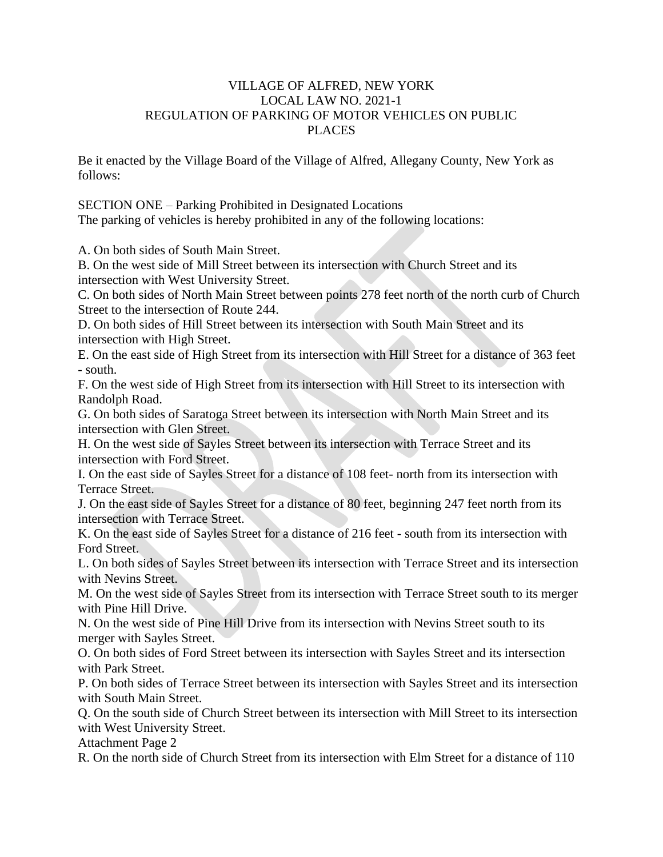## VILLAGE OF ALFRED, NEW YORK LOCAL LAW NO. 2021-1 REGULATION OF PARKING OF MOTOR VEHICLES ON PUBLIC **PLACES**

Be it enacted by the Village Board of the Village of Alfred, Allegany County, New York as follows:

SECTION ONE – Parking Prohibited in Designated Locations The parking of vehicles is hereby prohibited in any of the following locations:

A. On both sides of South Main Street.

B. On the west side of Mill Street between its intersection with Church Street and its intersection with West University Street.

C. On both sides of North Main Street between points 278 feet north of the north curb of Church Street to the intersection of Route 244.

D. On both sides of Hill Street between its intersection with South Main Street and its intersection with High Street.

E. On the east side of High Street from its intersection with Hill Street for a distance of 363 feet - south.

F. On the west side of High Street from its intersection with Hill Street to its intersection with Randolph Road.

G. On both sides of Saratoga Street between its intersection with North Main Street and its intersection with Glen Street.

H. On the west side of Sayles Street between its intersection with Terrace Street and its intersection with Ford Street.

I. On the east side of Sayles Street for a distance of 108 feet- north from its intersection with Terrace Street.

J. On the east side of Sayles Street for a distance of 80 feet, beginning 247 feet north from its intersection with Terrace Street.

K. On the east side of Sayles Street for a distance of 216 feet - south from its intersection with Ford Street.

L. On both sides of Sayles Street between its intersection with Terrace Street and its intersection with Nevins Street.

M. On the west side of Sayles Street from its intersection with Terrace Street south to its merger with Pine Hill Drive.

N. On the west side of Pine Hill Drive from its intersection with Nevins Street south to its merger with Sayles Street.

O. On both sides of Ford Street between its intersection with Sayles Street and its intersection with Park Street.

P. On both sides of Terrace Street between its intersection with Sayles Street and its intersection with South Main Street.

Q. On the south side of Church Street between its intersection with Mill Street to its intersection with West University Street.

Attachment Page 2

R. On the north side of Church Street from its intersection with Elm Street for a distance of 110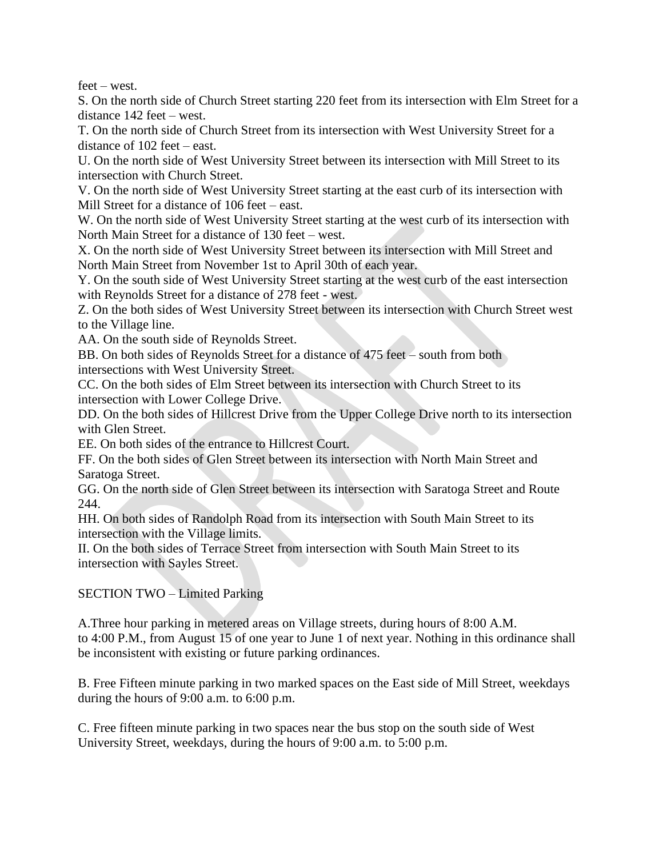feet – west.

S. On the north side of Church Street starting 220 feet from its intersection with Elm Street for a distance 142 feet – west.

T. On the north side of Church Street from its intersection with West University Street for a distance of 102 feet – east.

U. On the north side of West University Street between its intersection with Mill Street to its intersection with Church Street.

V. On the north side of West University Street starting at the east curb of its intersection with Mill Street for a distance of 106 feet – east.

W. On the north side of West University Street starting at the west curb of its intersection with North Main Street for a distance of 130 feet – west.

X. On the north side of West University Street between its intersection with Mill Street and North Main Street from November 1st to April 30th of each year.

Y. On the south side of West University Street starting at the west curb of the east intersection with Reynolds Street for a distance of 278 feet - west.

Z. On the both sides of West University Street between its intersection with Church Street west to the Village line.

AA. On the south side of Reynolds Street.

BB. On both sides of Reynolds Street for a distance of 475 feet – south from both intersections with West University Street.

CC. On the both sides of Elm Street between its intersection with Church Street to its intersection with Lower College Drive.

DD. On the both sides of Hillcrest Drive from the Upper College Drive north to its intersection with Glen Street.

EE. On both sides of the entrance to Hillcrest Court.

FF. On the both sides of Glen Street between its intersection with North Main Street and Saratoga Street.

GG. On the north side of Glen Street between its intersection with Saratoga Street and Route 244.

HH. On both sides of Randolph Road from its intersection with South Main Street to its intersection with the Village limits.

II. On the both sides of Terrace Street from intersection with South Main Street to its intersection with Sayles Street.

SECTION TWO – Limited Parking

A.Three hour parking in metered areas on Village streets, during hours of 8:00 A.M. to 4:00 P.M., from August 15 of one year to June 1 of next year. Nothing in this ordinance shall be inconsistent with existing or future parking ordinances.

B. Free Fifteen minute parking in two marked spaces on the East side of Mill Street, weekdays during the hours of 9:00 a.m. to 6:00 p.m.

C. Free fifteen minute parking in two spaces near the bus stop on the south side of West University Street, weekdays, during the hours of 9:00 a.m. to 5:00 p.m.